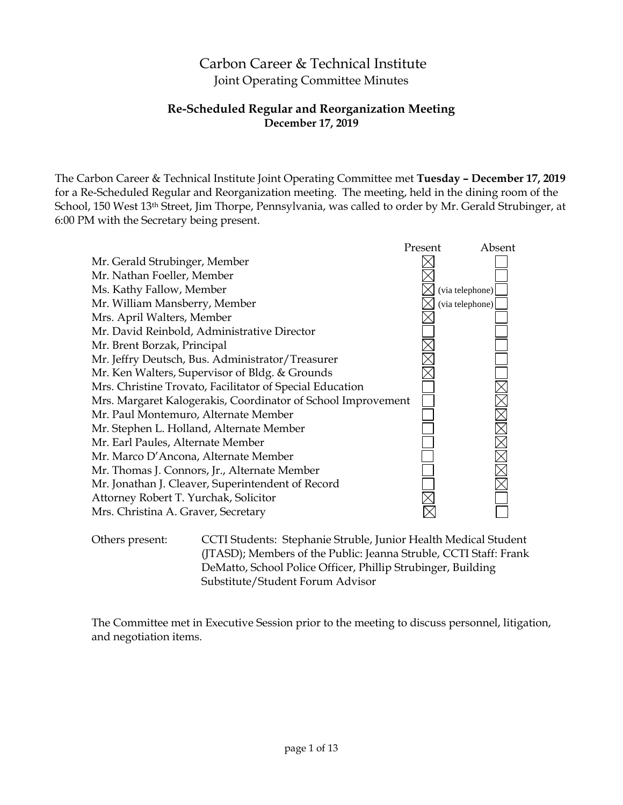# Carbon Career & Technical Institute Joint Operating Committee Minutes

## **Re-Scheduled Regular and Reorganization Meeting December 17, 2019**

The Carbon Career & Technical Institute Joint Operating Committee met **Tuesday – December 17, 2019** for a Re-Scheduled Regular and Reorganization meeting. The meeting, held in the dining room of the School, 150 West 13<sup>th</sup> Street, Jim Thorpe, Pennsylvania, was called to order by Mr. Gerald Strubinger, at 6:00 PM with the Secretary being present.



Others present: CCTI Students: Stephanie Struble, Junior Health Medical Student (JTASD); Members of the Public: Jeanna Struble, CCTI Staff: Frank DeMatto, School Police Officer, Phillip Strubinger, Building Substitute/Student Forum Advisor

The Committee met in Executive Session prior to the meeting to discuss personnel, litigation, and negotiation items.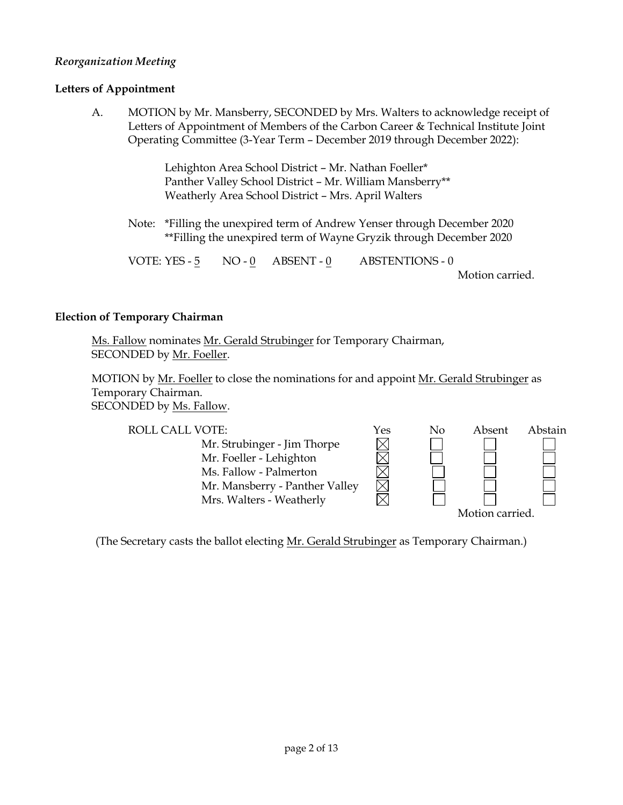## *Reorganization Meeting*

## **Letters of Appointment**

A. MOTION by Mr. Mansberry, SECONDED by Mrs. Walters to acknowledge receipt of Letters of Appointment of Members of the Carbon Career & Technical Institute Joint Operating Committee (3-Year Term – December 2019 through December 2022):

> Lehighton Area School District – Mr. Nathan Foeller\* Panther Valley School District – Mr. William Mansberry\*\* Weatherly Area School District – Mrs. April Walters

Note: \*Filling the unexpired term of Andrew Yenser through December 2020 \*\*Filling the unexpired term of Wayne Gryzik through December 2020

VOTE: YES -  $\frac{5}{5}$  NO -  $\frac{0}{2}$  ABSENT -  $\frac{0}{2}$  ABSTENTIONS - 0

Motion carried.

#### **Election of Temporary Chairman**

Ms. Fallow nominates Mr. Gerald Strubinger for Temporary Chairman, SECONDED by Mr. Foeller.

MOTION by Mr. Foeller to close the nominations for and appoint Mr. Gerald Strubinger as Temporary Chairman. SECONDED by Ms. Fallow.

| <b>ROLL CALL VOTE:</b>         | Yes | No | Absent          | Abstain |
|--------------------------------|-----|----|-----------------|---------|
| Mr. Strubinger - Jim Thorpe    |     |    |                 |         |
| Mr. Foeller - Lehighton        |     |    |                 |         |
| Ms. Fallow - Palmerton         |     |    |                 |         |
| Mr. Mansberry - Panther Valley |     |    |                 |         |
| Mrs. Walters - Weatherly       |     |    |                 |         |
|                                |     |    | Motion carried. |         |

(The Secretary casts the ballot electing Mr. Gerald Strubinger as Temporary Chairman.)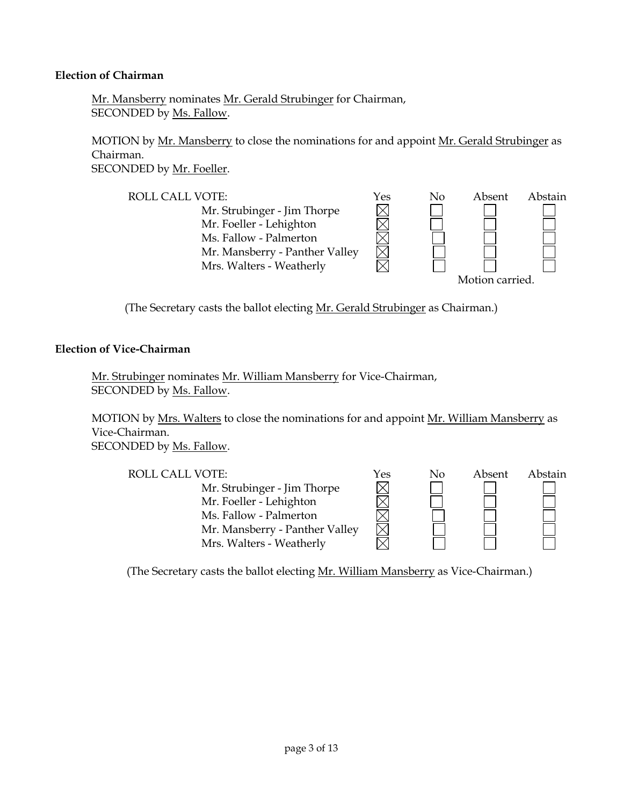#### **Election of Chairman**

Mr. Mansberry nominates Mr. Gerald Strubinger for Chairman, SECONDED by Ms. Fallow.

MOTION by Mr. Mansberry to close the nominations for and appoint Mr. Gerald Strubinger as Chairman. SECONDED by Mr. Foeller.



(The Secretary casts the ballot electing Mr. Gerald Strubinger as Chairman.)

#### **Election of Vice-Chairman**

Mr. Strubinger nominates Mr. William Mansberry for Vice-Chairman, SECONDED by Ms. Fallow.

MOTION by Mrs. Walters to close the nominations for and appoint Mr. William Mansberry as Vice-Chairman.

SECONDED by Ms. Fallow.

| <b>ROLL CALL VOTE:</b>         | Yes | No | Absent | Abstain |
|--------------------------------|-----|----|--------|---------|
| Mr. Strubinger - Jim Thorpe    |     |    |        |         |
| Mr. Foeller - Lehighton        |     |    |        |         |
| Ms. Fallow - Palmerton         |     |    |        |         |
| Mr. Mansberry - Panther Valley |     |    |        |         |
| Mrs. Walters - Weatherly       |     |    |        |         |

(The Secretary casts the ballot electing Mr. William Mansberry as Vice-Chairman.)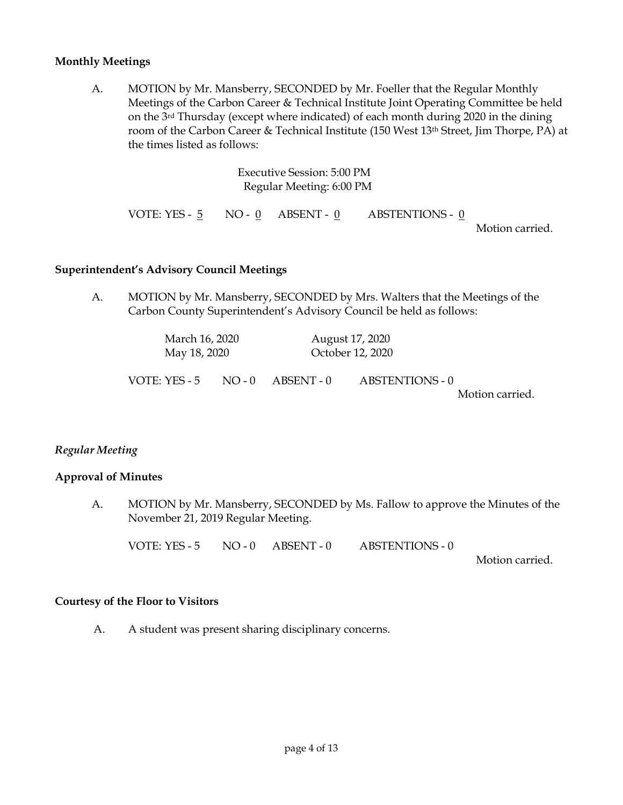#### **Monthly Meetings**

A. MOTION by Mr. Mansberry, SECONDED by Mr. Foeller that the Regular Monthly Meetings of the Carbon Career & Technical Institute Joint Operating Committee be held on the 3rd Thursday (except where indicated) of each month during 2020 in the dining room of the Carbon Career & Technical Institute (150 West 13th Street, Jim Thorpe, PA) at the times listed as follows:

|  | Executive Session: 5:00 PM<br>Regular Meeting: 6:00 PM |                                                 |                 |
|--|--------------------------------------------------------|-------------------------------------------------|-----------------|
|  |                                                        | VOTE: YES - 5 NO - 0 ABSENT - 0 ABSTENTIONS - 0 | Motion carried. |

#### **Superintendent's Advisory Council Meetings**

A. MOTION by Mr. Mansberry, SECONDED by Mrs. Walters that the Meetings of the Carbon County Superintendent's Advisory Council be held as follows:

| March 16, 2020<br>May 18, 2020                  | August 17, 2020<br>October 12, 2020 |                                           |
|-------------------------------------------------|-------------------------------------|-------------------------------------------|
| VOTE: YES - 5 $\quad$ NO - 0 $\quad$ ABSENT - 0 |                                     | <b>ABSTENTIONS - 0</b><br>Motion carried. |

## *Regular Meeting*

## **Approval of Minutes**

A. MOTION by Mr. Mansberry, SECONDED by Ms. Fallow to approve the Minutes of the November 21, 2019 Regular Meeting.

VOTE: YES - 5 NO - 0 ABSENT - 0 ABSTENTIONS - 0

Motion carried.

#### **Courtesy of the Floor to Visitors**

A. A student was present sharing disciplinary concerns.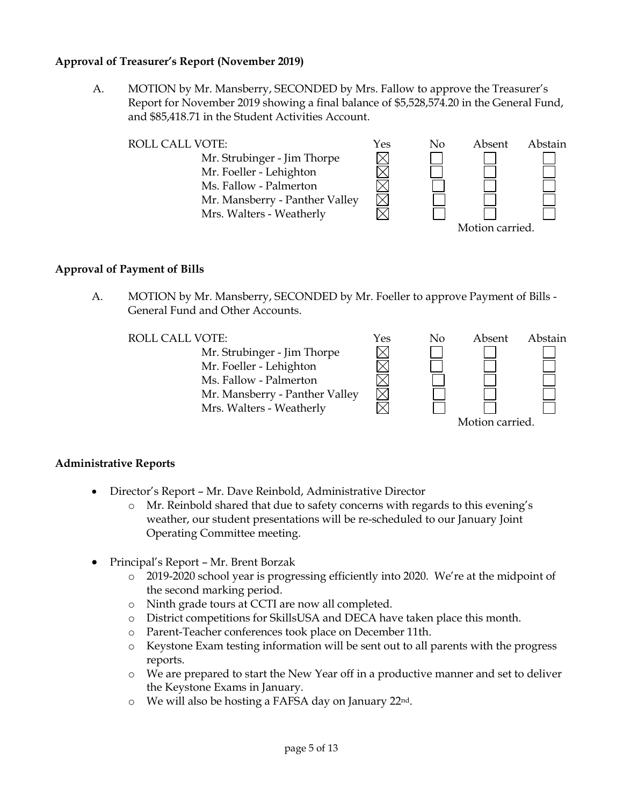## **Approval of Treasurer's Report (November 2019)**

A. MOTION by Mr. Mansberry, SECONDED by Mrs. Fallow to approve the Treasurer's Report for November 2019 showing a final balance of \$5,528,574.20 in the General Fund, and \$85,418.71 in the Student Activities Account.



## **Approval of Payment of Bills**

A. MOTION by Mr. Mansberry, SECONDED by Mr. Foeller to approve Payment of Bills - General Fund and Other Accounts.

Mr. Strubinger - Jim Thorpe Mr. Foeller - Lehighton Ms. Fallow - Palmerton Mr. Mansberry - Panther Valley Mrs. Walters - Weatherly



## **Administrative Reports**

- Director's Report Mr. Dave Reinbold, Administrative Director
	- o Mr. Reinbold shared that due to safety concerns with regards to this evening's weather, our student presentations will be re-scheduled to our January Joint Operating Committee meeting.
- Principal's Report Mr. Brent Borzak
	- $\circ$  2019-2020 school year is progressing efficiently into 2020. We're at the midpoint of the second marking period.
	- o Ninth grade tours at CCTI are now all completed.
	- o District competitions for SkillsUSA and DECA have taken place this month.
	- o Parent-Teacher conferences took place on December 11th.
	- o Keystone Exam testing information will be sent out to all parents with the progress reports.
	- o We are prepared to start the New Year off in a productive manner and set to deliver the Keystone Exams in January.
	- o We will also be hosting a FAFSA day on January 22nd.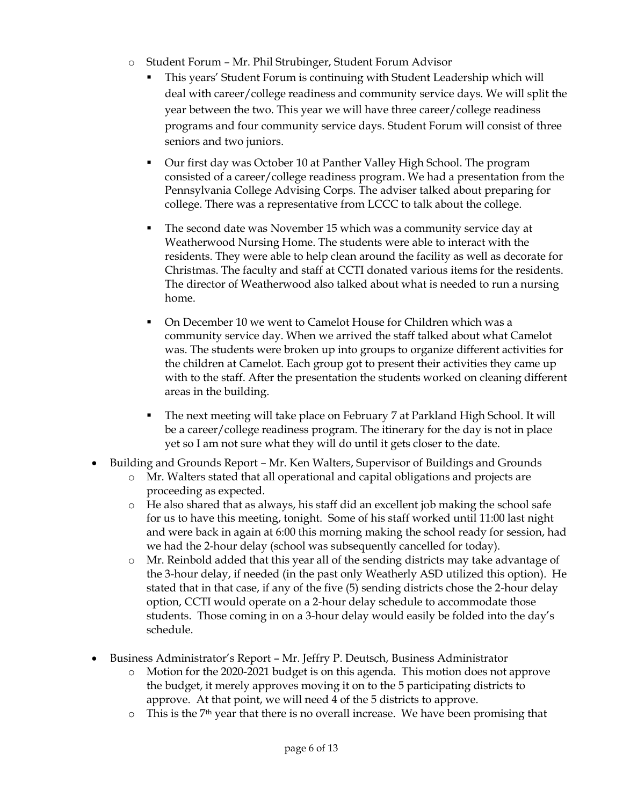- o Student Forum Mr. Phil Strubinger, Student Forum Advisor
	- This years' Student Forum is continuing with Student Leadership which will deal with career/college readiness and community service days. We will split the year between the two. This year we will have three career/college readiness programs and four community service days. Student Forum will consist of three seniors and two juniors.
	- Our first day was October 10 at Panther Valley High School. The program consisted of a career/college readiness program. We had a presentation from the Pennsylvania College Advising Corps. The adviser talked about preparing for college. There was a representative from LCCC to talk about the college.
	- The second date was November 15 which was a community service day at Weatherwood Nursing Home. The students were able to interact with the residents. They were able to help clean around the facility as well as decorate for Christmas. The faculty and staff at CCTI donated various items for the residents. The director of Weatherwood also talked about what is needed to run a nursing home.
	- On December 10 we went to Camelot House for Children which was a community service day. When we arrived the staff talked about what Camelot was. The students were broken up into groups to organize different activities for the children at Camelot. Each group got to present their activities they came up with to the staff. After the presentation the students worked on cleaning different areas in the building.
	- The next meeting will take place on February 7 at Parkland High School. It will be a career/college readiness program. The itinerary for the day is not in place yet so I am not sure what they will do until it gets closer to the date.
- Building and Grounds Report Mr. Ken Walters, Supervisor of Buildings and Grounds
	- o Mr. Walters stated that all operational and capital obligations and projects are proceeding as expected.
	- o He also shared that as always, his staff did an excellent job making the school safe for us to have this meeting, tonight. Some of his staff worked until 11:00 last night and were back in again at 6:00 this morning making the school ready for session, had we had the 2-hour delay (school was subsequently cancelled for today).
	- o Mr. Reinbold added that this year all of the sending districts may take advantage of the 3-hour delay, if needed (in the past only Weatherly ASD utilized this option). He stated that in that case, if any of the five (5) sending districts chose the 2-hour delay option, CCTI would operate on a 2-hour delay schedule to accommodate those students. Those coming in on a 3-hour delay would easily be folded into the day's schedule.
- Business Administrator's Report Mr. Jeffry P. Deutsch, Business Administrator
	- o Motion for the 2020-2021 budget is on this agenda. This motion does not approve the budget, it merely approves moving it on to the 5 participating districts to approve. At that point, we will need 4 of the 5 districts to approve.
	- $\circ$  This is the 7<sup>th</sup> year that there is no overall increase. We have been promising that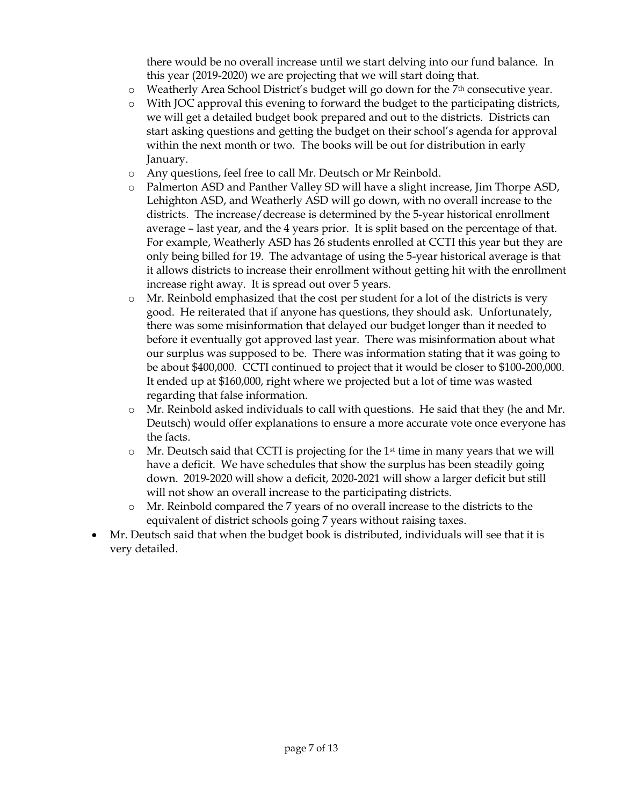there would be no overall increase until we start delving into our fund balance. In this year (2019-2020) we are projecting that we will start doing that.

- $\circ$  Weatherly Area School District's budget will go down for the 7<sup>th</sup> consecutive year.
- o With JOC approval this evening to forward the budget to the participating districts, we will get a detailed budget book prepared and out to the districts. Districts can start asking questions and getting the budget on their school's agenda for approval within the next month or two. The books will be out for distribution in early January.
- o Any questions, feel free to call Mr. Deutsch or Mr Reinbold.
- o Palmerton ASD and Panther Valley SD will have a slight increase, Jim Thorpe ASD, Lehighton ASD, and Weatherly ASD will go down, with no overall increase to the districts. The increase/decrease is determined by the 5-year historical enrollment average – last year, and the 4 years prior. It is split based on the percentage of that. For example, Weatherly ASD has 26 students enrolled at CCTI this year but they are only being billed for 19. The advantage of using the 5-year historical average is that it allows districts to increase their enrollment without getting hit with the enrollment increase right away. It is spread out over 5 years.
- o Mr. Reinbold emphasized that the cost per student for a lot of the districts is very good. He reiterated that if anyone has questions, they should ask. Unfortunately, there was some misinformation that delayed our budget longer than it needed to before it eventually got approved last year. There was misinformation about what our surplus was supposed to be. There was information stating that it was going to be about \$400,000. CCTI continued to project that it would be closer to \$100-200,000. It ended up at \$160,000, right where we projected but a lot of time was wasted regarding that false information.
- o Mr. Reinbold asked individuals to call with questions. He said that they (he and Mr. Deutsch) would offer explanations to ensure a more accurate vote once everyone has the facts.
- $\circ$  Mr. Deutsch said that CCTI is projecting for the 1<sup>st</sup> time in many years that we will have a deficit. We have schedules that show the surplus has been steadily going down. 2019-2020 will show a deficit, 2020-2021 will show a larger deficit but still will not show an overall increase to the participating districts.
- o Mr. Reinbold compared the 7 years of no overall increase to the districts to the equivalent of district schools going 7 years without raising taxes.
- Mr. Deutsch said that when the budget book is distributed, individuals will see that it is very detailed.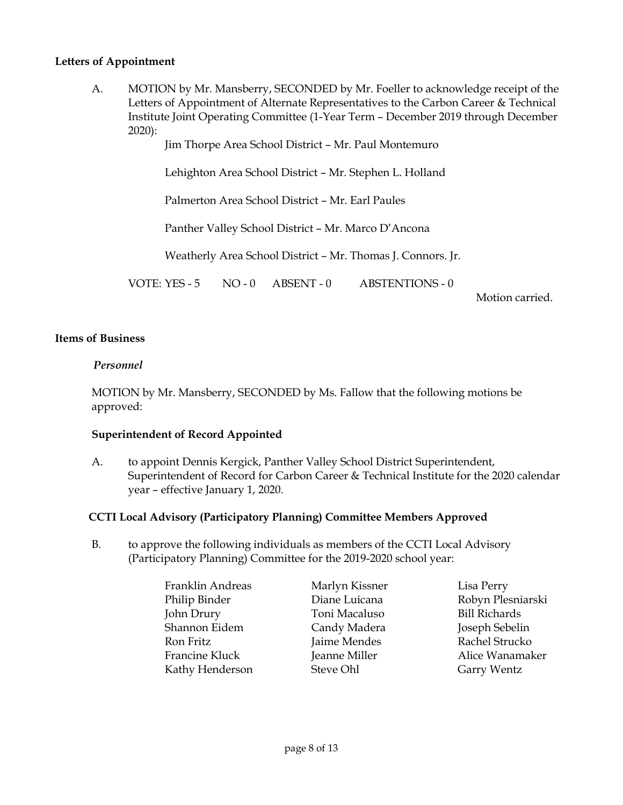## **Letters of Appointment**

A. MOTION by Mr. Mansberry, SECONDED by Mr. Foeller to acknowledge receipt of the Letters of Appointment of Alternate Representatives to the Carbon Career & Technical Institute Joint Operating Committee (1-Year Term – December 2019 through December 2020):

Jim Thorpe Area School District – Mr. Paul Montemuro

Lehighton Area School District – Mr. Stephen L. Holland

Palmerton Area School District – Mr. Earl Paules

Panther Valley School District – Mr. Marco D'Ancona

Weatherly Area School District – Mr. Thomas J. Connors. Jr.

VOTE: YES - 5 NO - 0 ABSENT - 0 ABSTENTIONS - 0

Motion carried.

#### **Items of Business**

#### *Personnel*

MOTION by Mr. Mansberry, SECONDED by Ms. Fallow that the following motions be approved:

#### **Superintendent of Record Appointed**

A. to appoint Dennis Kergick, Panther Valley School District Superintendent, Superintendent of Record for Carbon Career & Technical Institute for the 2020 calendar year – effective January 1, 2020.

## **CCTI Local Advisory (Participatory Planning) Committee Members Approved**

B. to approve the following individuals as members of the CCTI Local Advisory (Participatory Planning) Committee for the 2019-2020 school year:

| Franklin Andreas | Marlyn Kissner | Lisa Perry           |
|------------------|----------------|----------------------|
| Philip Binder    | Diane Luicana  | Robyn Plesniarski    |
| John Drury       | Toni Macaluso  | <b>Bill Richards</b> |
| Shannon Eidem    | Candy Madera   | Joseph Sebelin       |
| Ron Fritz        | Jaime Mendes   | Rachel Strucko       |
| Francine Kluck   | Jeanne Miller  | Alice Wanamaker      |
| Kathy Henderson  | Steve Ohl      | Garry Wentz          |
|                  |                |                      |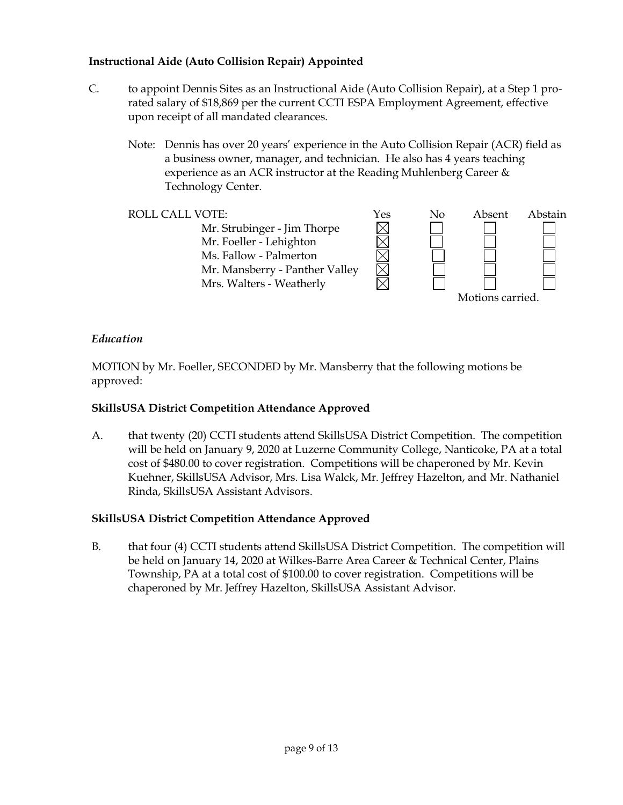## **Instructional Aide (Auto Collision Repair) Appointed**

- C. to appoint Dennis Sites as an Instructional Aide (Auto Collision Repair), at a Step 1 prorated salary of \$18,869 per the current CCTI ESPA Employment Agreement, effective upon receipt of all mandated clearances.
	- Note: Dennis has over 20 years' experience in the Auto Collision Repair (ACR) field as a business owner, manager, and technician. He also has 4 years teaching experience as an ACR instructor at the Reading Muhlenberg Career & Technology Center.



## *Education*

MOTION by Mr. Foeller, SECONDED by Mr. Mansberry that the following motions be approved:

## **SkillsUSA District Competition Attendance Approved**

A. that twenty (20) CCTI students attend SkillsUSA District Competition. The competition will be held on January 9, 2020 at Luzerne Community College, Nanticoke, PA at a total cost of \$480.00 to cover registration. Competitions will be chaperoned by Mr. Kevin Kuehner, SkillsUSA Advisor, Mrs. Lisa Walck, Mr. Jeffrey Hazelton, and Mr. Nathaniel Rinda, SkillsUSA Assistant Advisors.

## **SkillsUSA District Competition Attendance Approved**

B. that four (4) CCTI students attend SkillsUSA District Competition. The competition will be held on January 14, 2020 at Wilkes-Barre Area Career & Technical Center, Plains Township, PA at a total cost of \$100.00 to cover registration. Competitions will be chaperoned by Mr. Jeffrey Hazelton, SkillsUSA Assistant Advisor.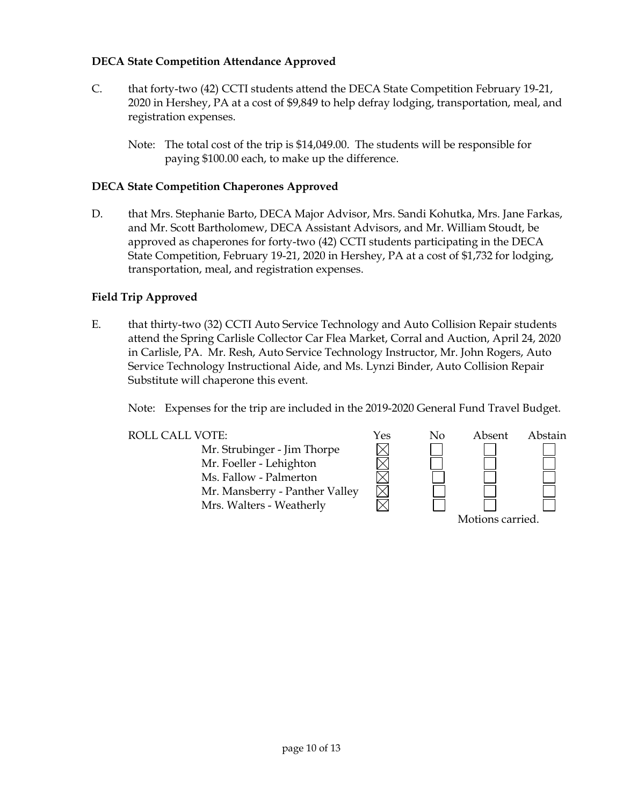## **DECA State Competition Attendance Approved**

- C. that forty-two (42) CCTI students attend the DECA State Competition February 19-21, 2020 in Hershey, PA at a cost of \$9,849 to help defray lodging, transportation, meal, and registration expenses.
	- Note: The total cost of the trip is \$14,049.00. The students will be responsible for paying \$100.00 each, to make up the difference.

## **DECA State Competition Chaperones Approved**

D. that Mrs. Stephanie Barto, DECA Major Advisor, Mrs. Sandi Kohutka, Mrs. Jane Farkas, and Mr. Scott Bartholomew, DECA Assistant Advisors, and Mr. William Stoudt, be approved as chaperones for forty-two (42) CCTI students participating in the DECA State Competition, February 19-21, 2020 in Hershey, PA at a cost of \$1,732 for lodging, transportation, meal, and registration expenses.

## **Field Trip Approved**

E. that thirty-two (32) CCTI Auto Service Technology and Auto Collision Repair students attend the Spring Carlisle Collector Car Flea Market, Corral and Auction, April 24, 2020 in Carlisle, PA. Mr. Resh, Auto Service Technology Instructor, Mr. John Rogers, Auto Service Technology Instructional Aide, and Ms. Lynzi Binder, Auto Collision Repair Substitute will chaperone this event.

Note: Expenses for the trip are included in the 2019-2020 General Fund Travel Budget.

Mr. Strubinger - Jim Thorpe Mr. Foeller - Lehighton Ms. Fallow - Palmerton Mr. Mansberry - Panther Valley Mrs. Walters - Weatherly

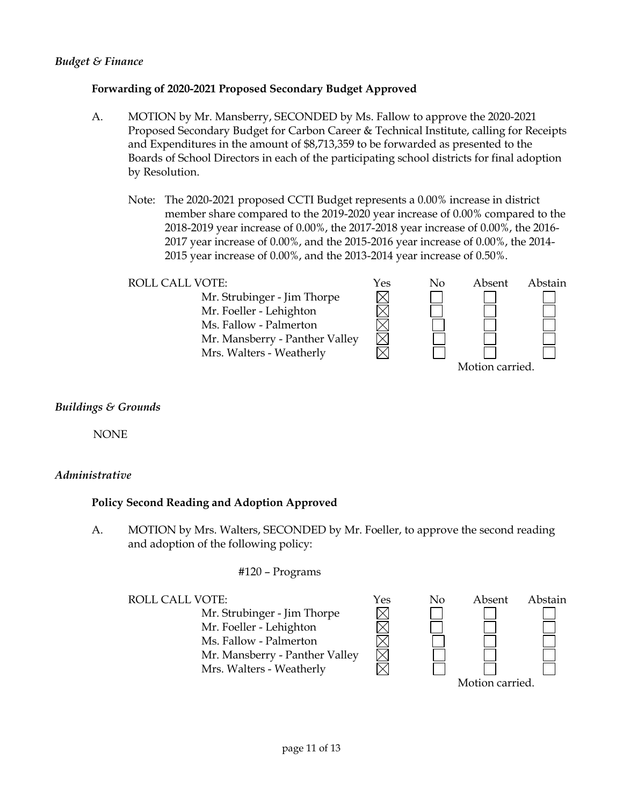## *Budget & Finance*

## **Forwarding of 2020-2021 Proposed Secondary Budget Approved**

- A. MOTION by Mr. Mansberry, SECONDED by Ms. Fallow to approve the 2020-2021 Proposed Secondary Budget for Carbon Career & Technical Institute, calling for Receipts and Expenditures in the amount of \$8,713,359 to be forwarded as presented to the Boards of School Directors in each of the participating school districts for final adoption by Resolution.
	- Note: The 2020-2021 proposed CCTI Budget represents a 0.00% increase in district member share compared to the 2019-2020 year increase of 0.00% compared to the 2018-2019 year increase of 0.00%, the 2017-2018 year increase of 0.00%, the 2016- 2017 year increase of 0.00%, and the 2015-2016 year increase of 0.00%, the 2014- 2015 year increase of 0.00%, and the 2013-2014 year increase of 0.50%.
	- ROLL CALL VOTE:  $\gamma$ es No Absent Abstain Mr. Strubinger - Jim Thorpe Mr. Foeller - Lehighton Ms. Fallow - Palmerton Mr. Mansberry - Panther Valley Mrs. Walters - Weatherly Motion carried.

## *Buildings & Grounds*

NONE

## *Administrative*

## **Policy Second Reading and Adoption Approved**

A. MOTION by Mrs. Walters, SECONDED by Mr. Foeller, to approve the second reading and adoption of the following policy:

#### #120 – Programs

Mr. Strubinger - Jim Thorpe Mr. Foeller - Lehighton Ms. Fallow - Palmerton Mr. Mansberry - Panther Valley Mrs. Walters - Weatherly

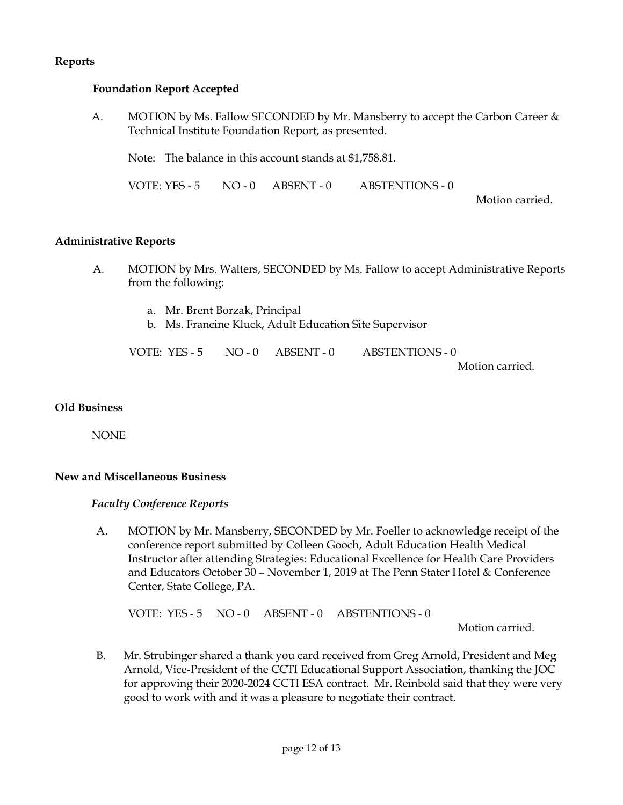## **Reports**

### **Foundation Report Accepted**

A. MOTION by Ms. Fallow SECONDED by Mr. Mansberry to accept the Carbon Career & Technical Institute Foundation Report, as presented.

Note: The balance in this account stands at \$1,758.81.

VOTE: YES - 5 NO - 0 ABSENT - 0 ABSTENTIONS - 0

Motion carried.

#### **Administrative Reports**

- A. MOTION by Mrs. Walters, SECONDED by Ms. Fallow to accept Administrative Reports from the following:
	- a. Mr. Brent Borzak, Principal
	- b. Ms. Francine Kluck, Adult Education Site Supervisor

VOTE: YES - 5 NO - 0 ABSENT - 0 ABSTENTIONS - 0 Motion carried.

#### **Old Business**

NONE

#### **New and Miscellaneous Business**

#### *Faculty Conference Reports*

A. MOTION by Mr. Mansberry, SECONDED by Mr. Foeller to acknowledge receipt of the conference report submitted by Colleen Gooch, Adult Education Health Medical Instructor after attending Strategies: Educational Excellence for Health Care Providers and Educators October 30 – November 1, 2019 at The Penn Stater Hotel & Conference Center, State College, PA.

VOTE: YES - 5 NO - 0 ABSENT - 0 ABSTENTIONS - 0

Motion carried.

B. Mr. Strubinger shared a thank you card received from Greg Arnold, President and Meg Arnold, Vice-President of the CCTI Educational Support Association, thanking the JOC for approving their 2020-2024 CCTI ESA contract. Mr. Reinbold said that they were very good to work with and it was a pleasure to negotiate their contract.